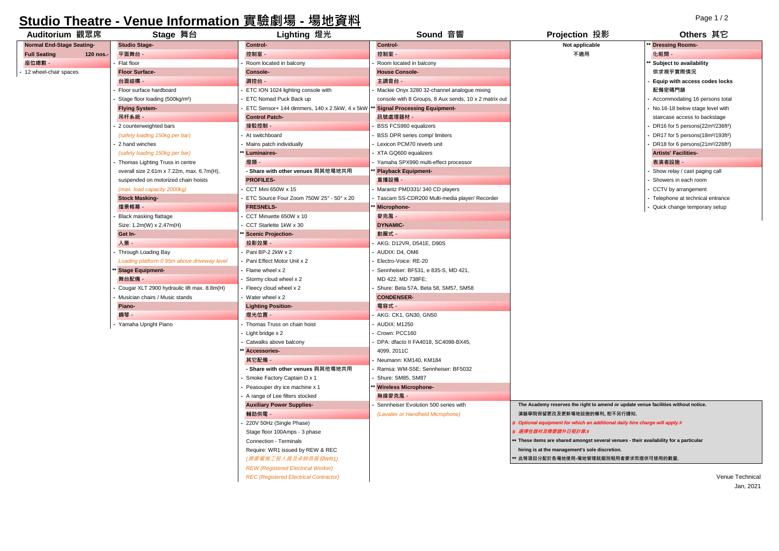## **Studio Theatre - Venue Information 實驗劇場 - 場地資料**

| Auditorium 觀眾席                   | Stage 舞台                                    | Lighting 燈光                                   | Sound 音響                                              | Projection 投影                                                                         | Others 其它                                                 |
|----------------------------------|---------------------------------------------|-----------------------------------------------|-------------------------------------------------------|---------------------------------------------------------------------------------------|-----------------------------------------------------------|
| <b>Normal End-Stage Seating-</b> | <b>Studio Stage-</b>                        | Control-                                      | Control-                                              | Not applicable                                                                        | <b>Dressing Rooms-</b>                                    |
| <b>Full Seating</b><br>120 nos.- | 平面舞台 -                                      | 控制室 -                                         | 控制室 -                                                 | 不適用                                                                                   | 化粧間 -                                                     |
| 座位總數 -                           | Flat floor                                  | Room located in balcony                       | Room located in balcony                               |                                                                                       | Subject to availability                                   |
| 12 wheel-chair spaces            | <b>Floor Surface-</b>                       | <b>Console-</b>                               | <b>House Console-</b>                                 |                                                                                       | 供求視乎實際情況                                                  |
|                                  | 台面結構 -                                      | 調控台 -                                         | 主調音台 -                                                |                                                                                       | Equip with access codes locks                             |
|                                  | Floor surface hardboard                     | ETC ION 1024 lighting console with            | Mackie Onyx 3280 32-channel analogue mixing           |                                                                                       | 配備密碼門鎖                                                    |
|                                  | Stage floor loading (500kg/m <sup>2</sup> ) | ETC Nomad Puck Back up                        | console with 8 Groups, 8 Aux sends, 10 x 2 matrix out |                                                                                       | Accommodating 16 persons total                            |
|                                  | <b>Flying System-</b>                       | ETC Sensor+ 144 dimmers, 140 x 2.5kW, 4 x 5kW | <b>Signal Processing Equipment-</b>                   |                                                                                       | No.16-18 below stage level with                           |
|                                  | 吊杆系統 -                                      | <b>Control Patch-</b>                         | 訊號處理器材 -                                              |                                                                                       | staircase access to backstage                             |
|                                  | 2 counterweighted bars                      | 接駁控制 -                                        | BSS FCS960 equalizers                                 |                                                                                       | DR16 for 5 persons(22m <sup>2</sup> /236ft <sup>2</sup> ) |
|                                  | (safety loading 150kg per bar)              | At switchboard                                | BSS DPR series comp/ limiters                         |                                                                                       | DR17 for 5 persons(18m <sup>2</sup> /193ft <sup>2</sup> ) |
|                                  | 2 hand winches                              | Mains patch individually                      | Lexicon PCM70 reverb unit                             |                                                                                       | DR18 for 6 persons(21m <sup>2</sup> /226ft <sup>2</sup> ) |
|                                  | (safety loading 150kg per bar)              | Luminaires-                                   | XTA GQ600 equalizers                                  |                                                                                       | <b>Artists' Facilities-</b>                               |
|                                  | Thomas Lighting Truss in centre             | 燈類                                            | Yamaha SPX990 multi-effect processor                  |                                                                                       | 表演者設施·                                                    |
|                                  | overall size 2.61m x 7.22m, max. 6.7m(H),   | - Share with other venues 與其他場地共用             | Playback Equipment-                                   |                                                                                       | Show relay / cast paging call                             |
|                                  | suspended on motorized chain hoists         | <b>PROFILES-</b>                              | 重播設備 -                                                |                                                                                       | Showers in each room                                      |
|                                  | (max. load capacity 2000kg)                 | CCT Mini 650W x 15                            | Marantz PMD331/340 CD players                         |                                                                                       | CCTV by arrangement                                       |
|                                  | <b>Stock Masking-</b>                       | ETC Source Four Zoom 750W 25° - 50° x 20      | Tascam SS-CDR200 Multi-media player/ Recorder         |                                                                                       | - Telephone at technical entrance                         |
|                                  | 擋景帳幕 -                                      | <b>FRESNELS-</b>                              | Microphone-                                           |                                                                                       | - Quick change temporary setup                            |
|                                  | <b>Black masking flattage</b>               | CCT Minuette 650W x 10                        | 麥克風 -                                                 |                                                                                       |                                                           |
|                                  | Size: 1.2m(W) x 2.47m(H)                    | CCT Starlette 1kW x 30                        | <b>DYNAMIC-</b>                                       |                                                                                       |                                                           |
|                                  | Get In-                                     | <b>Scenic Projection-</b>                     | 動圈式 -                                                 |                                                                                       |                                                           |
|                                  | 入景 -                                        | 投影效果 -                                        | AKG: D12VR, D541E, D90S                               |                                                                                       |                                                           |
|                                  | Through Loading Bay                         | Pani BP-2 2kW x 2                             | AUDIX: D4, OM6                                        |                                                                                       |                                                           |
|                                  | Loading platform 0.95m above driveway level | Pani Effect Motor Unit x 2                    | Electro-Voice: RE-20                                  |                                                                                       |                                                           |
|                                  | <b>Stage Equipment-</b>                     | Flame wheel x 2                               | Sennheiser: BF531, e 835-S, MD 421,                   |                                                                                       |                                                           |
|                                  | 舞台配備 -                                      | Stormy cloud wheel x 2                        | MD 422, MD 738FE;                                     |                                                                                       |                                                           |
|                                  | Cougar XLT 2900 hydraulic lift max. 8.8m(H) | Fleecy cloud wheel x 2                        | Shure: Beta 57A, Beta 58, SM57, SM58                  |                                                                                       |                                                           |
|                                  | Musician chairs / Music stands              | Water wheel x 2                               | <b>CONDENSER-</b>                                     |                                                                                       |                                                           |
|                                  | Piano-                                      | <b>Lighting Position-</b>                     | 電容式 -                                                 |                                                                                       |                                                           |
|                                  | 鋼琴 -                                        | 燈光位置 -                                        | AKG: CK1, GN30, GN50                                  |                                                                                       |                                                           |
|                                  | Yamaha Upright Piano                        | Thomas Truss on chain hoist                   | AUDIX: M1250                                          |                                                                                       |                                                           |
|                                  |                                             | Light bridge x 2                              | Crown: PCC160                                         |                                                                                       |                                                           |
|                                  |                                             | Catwalks above balcony                        | DPA: dfacto II FA4018, SC4098-BX45,                   |                                                                                       |                                                           |
|                                  |                                             | Accessories-                                  | 4099, 2011C                                           |                                                                                       |                                                           |
|                                  |                                             | 其它配備 -                                        | Neumann: KM140, KM184                                 |                                                                                       |                                                           |
|                                  |                                             | - Share with other venues 與其他場地共用             | Ramsa: WM-S5E; Sennheiser: BF5032                     |                                                                                       |                                                           |
|                                  |                                             | Smoke Factory Captain D x 1                   | Shure: SM85, SM87                                     |                                                                                       |                                                           |
|                                  |                                             | Peasouper dry ice machine x 1                 | <b>Wireless Microphone-</b>                           |                                                                                       |                                                           |
|                                  |                                             | A range of Lee filters stocked                | 無線麥克風 -                                               |                                                                                       |                                                           |
|                                  |                                             | <b>Auxiliary Power Supplies-</b>              | Sennheiser Evolution 500 series with                  | The Academy reserves the right to amend or update venue facilities without notice.    |                                                           |
|                                  |                                             | 輔助供電 -                                        | (Lavalier or Handheld Microphone)                     | 演藝學院保留更改及更新場地設施的權利, 恕不另行通知.                                                           |                                                           |
|                                  |                                             | 220V 50Hz (Single Phase)                      |                                                       | # Optional equipment for which an additional daily hire charge will apply.#           |                                                           |
|                                  |                                             | Stage floor 100Amps - 3 phase                 |                                                       | # 選擇性器材及需要額外日租計算.#                                                                    |                                                           |
|                                  |                                             | Connection - Terminals                        |                                                       | * These items are shared amongst several venues - their availability for a particular |                                                           |
|                                  |                                             | Require: WR1 issued by REW & REC              |                                                       | hiring is at the management's sole discretion.                                        |                                                           |
|                                  |                                             | (需要電業工程人員及承辦商簽發WR1)                           |                                                       | 此等項目分配於各場地使用-場地管理就個別租用者要求而提供可使用的數量.                                                   |                                                           |
|                                  |                                             | <b>REW (Registered Electrical Worker)</b>     |                                                       |                                                                                       |                                                           |
|                                  |                                             | <b>REC (Registered Electrical Contractor)</b> |                                                       |                                                                                       | Venue Technical                                           |
|                                  |                                             |                                               |                                                       |                                                                                       | Jan. 2021                                                 |

Page 1 / 2